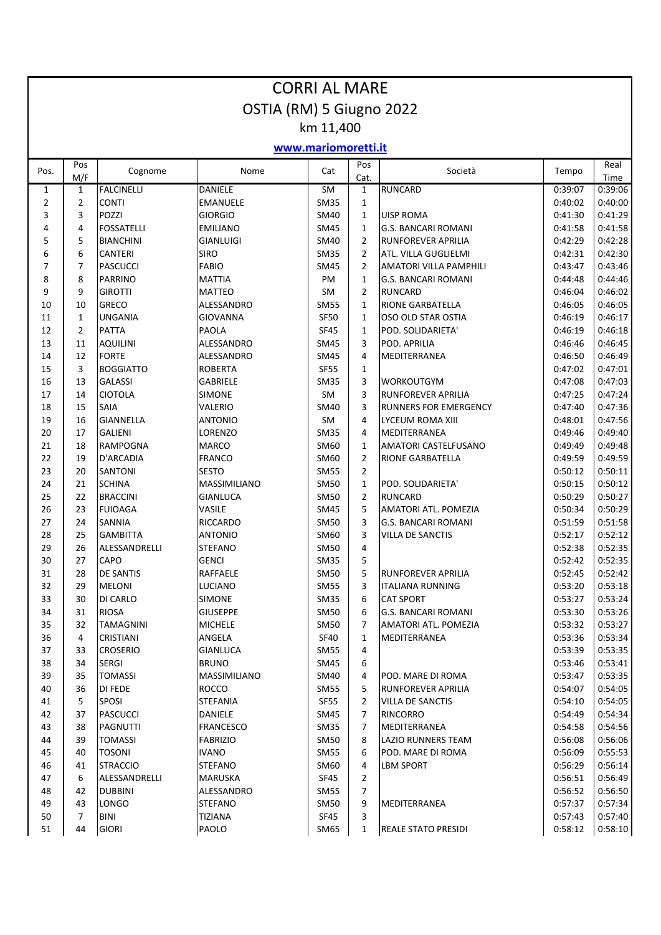| <b>CORRI AL MARE</b>     |                |                                  |                                     |              |                   |                                                       |                    |                    |  |  |  |
|--------------------------|----------------|----------------------------------|-------------------------------------|--------------|-------------------|-------------------------------------------------------|--------------------|--------------------|--|--|--|
| OSTIA (RM) 5 Giugno 2022 |                |                                  |                                     |              |                   |                                                       |                    |                    |  |  |  |
| km 11,400                |                |                                  |                                     |              |                   |                                                       |                    |                    |  |  |  |
| www.mariomoretti.it      |                |                                  |                                     |              |                   |                                                       |                    |                    |  |  |  |
|                          | Pos            |                                  |                                     |              | Pos               |                                                       |                    | Real               |  |  |  |
| Pos.                     | M/F            | Cognome                          | Nome                                | Cat          | Cat.              | Società                                               | Tempo              | Time               |  |  |  |
| 1                        | $\mathbf{1}$   | <b>FALCINELLI</b>                | DANIELE                             | SM           | $\mathbf{1}$      | <b>RUNCARD</b>                                        | 0:39:07            | 0:39:06            |  |  |  |
| $\overline{2}$           | $\overline{2}$ | <b>CONTI</b>                     | <b>EMANUELE</b>                     | <b>SM35</b>  | $\mathbf{1}$      |                                                       | 0:40:02            | 0:40:00            |  |  |  |
| 3                        | 3              | POZZI<br><b>FOSSATELLI</b>       | <b>GIORGIO</b>                      | SM40         | $\mathbf{1}$      | <b>UISP ROMA</b>                                      | 0:41:30            | 0:41:29<br>0:41:58 |  |  |  |
| 4<br>5                   | 4<br>5         | <b>BIANCHINI</b>                 | <b>EMILIANO</b><br><b>GIANLUIGI</b> | SM45<br>SM40 | $\mathbf{1}$<br>2 | <b>G.S. BANCARI ROMANI</b><br>RUNFOREVER APRILIA      | 0:41:58<br>0:42:29 | 0:42:28            |  |  |  |
| 6                        | 6              | <b>CANTERI</b>                   | <b>SIRO</b>                         | <b>SM35</b>  | $\overline{2}$    | ATL. VILLA GUGLIELMI                                  | 0:42:31            | 0:42:30            |  |  |  |
| $\overline{7}$           | $\overline{7}$ | <b>PASCUCCI</b>                  | <b>FABIO</b>                        | SM45         | $\overline{2}$    | AMATORI VILLA PAMPHILI                                | 0:43:47            | 0:43:46            |  |  |  |
| 8                        | 8              | <b>PARRINO</b>                   | <b>MATTIA</b>                       | PM           | $\mathbf{1}$      | <b>G.S. BANCARI ROMANI</b>                            | 0:44:48            | 0:44:46            |  |  |  |
| 9                        | 9              | <b>GIROTTI</b>                   | <b>MATTEO</b>                       | SM           | $\overline{2}$    | <b>RUNCARD</b>                                        | 0:46:04            | 0:46:02            |  |  |  |
| 10                       | 10             | <b>GRECO</b>                     | ALESSANDRO                          | <b>SM55</b>  | $\mathbf{1}$      | <b>RIONE GARBATELLA</b>                               | 0:46:05            | 0:46:05            |  |  |  |
| 11                       | $\mathbf{1}$   | <b>UNGANIA</b>                   | GIOVANNA                            | <b>SF50</b>  | $\mathbf{1}$      | OSO OLD STAR OSTIA                                    | 0:46:19            | 0:46:17            |  |  |  |
| 12                       | $\overline{2}$ | <b>PATTA</b>                     | PAOLA                               | SF45         | $\mathbf{1}$      | POD. SOLIDARIETA'                                     | 0:46:19            | 0:46:18            |  |  |  |
| 13                       | 11             | <b>AQUILINI</b>                  | ALESSANDRO                          | SM45         | 3                 | POD. APRILIA                                          | 0:46:46            | 0:46:45            |  |  |  |
| 14                       | 12             | <b>FORTE</b>                     | ALESSANDRO                          | SM45         | 4                 | MEDITERRANEA                                          | 0:46:50            | 0:46:49            |  |  |  |
| 15                       | 3              | <b>BOGGIATTO</b>                 | <b>ROBERTA</b>                      | <b>SF55</b>  | $\mathbf{1}$      |                                                       | 0:47:02            | 0:47:01            |  |  |  |
| 16                       | 13             | <b>GALASSI</b>                   | <b>GABRIELE</b>                     | <b>SM35</b>  | 3                 | <b>WORKOUTGYM</b>                                     | 0:47:08            | 0:47:03            |  |  |  |
| 17                       | 14             | <b>CIOTOLA</b>                   | <b>SIMONE</b>                       | SM           | 3                 | <b>RUNFOREVER APRILIA</b>                             | 0:47:25            | 0:47:24            |  |  |  |
| 18                       | 15             | <b>SAIA</b>                      | <b>VALERIO</b>                      | SM40         | 3                 | <b>RUNNERS FOR EMERGENCY</b>                          | 0:47:40            | 0:47:36            |  |  |  |
| 19                       | 16             | <b>GIANNELLA</b>                 | <b>ANTONIO</b>                      | SM           | 4                 | LYCEUM ROMA XIII                                      | 0:48:01            | 0:47:56            |  |  |  |
| 20                       | 17             | <b>GALIENI</b>                   | LORENZO                             | <b>SM35</b>  | 4                 | MEDITERRANEA                                          | 0:49:46            | 0:49:40            |  |  |  |
| 21                       | 18             | <b>RAMPOGNA</b>                  | <b>MARCO</b>                        | SM60         | $\mathbf{1}$      | AMATORI CASTELFUSANO                                  | 0:49:49            | 0:49:48            |  |  |  |
| 22                       | 19             | <b>D'ARCADIA</b>                 | <b>FRANCO</b>                       | SM60         | $\overline{2}$    | RIONE GARBATELLA                                      | 0:49:59            | 0:49:59            |  |  |  |
| 23                       | 20             | <b>SANTONI</b>                   | <b>SESTO</b>                        | <b>SM55</b>  | $\overline{2}$    |                                                       | 0:50:12            | 0:50:11            |  |  |  |
| 24                       | 21             | <b>SCHINA</b>                    | <b>MASSIMILIANO</b>                 | SM50         | $\mathbf{1}$      | POD. SOLIDARIETA'                                     | 0:50:15            | 0:50:12            |  |  |  |
| 25                       | 22             | <b>BRACCINI</b>                  | <b>GIANLUCA</b>                     | <b>SM50</b>  | $\overline{2}$    | <b>RUNCARD</b>                                        | 0:50:29            | 0:50:27            |  |  |  |
| 26                       | 23             | <b>FUIOAGA</b>                   | VASILE                              | SM45         | 5                 | <b>AMATORI ATL. POMEZIA</b>                           | 0:50:34            | 0:50:29            |  |  |  |
| 27                       | 24             | <b>SANNIA</b><br><b>GAMBITTA</b> | <b>RICCARDO</b><br><b>ANTONIO</b>   | SM50<br>SM60 | 3                 | <b>G.S. BANCARI ROMANI</b><br><b>VILLA DE SANCTIS</b> | 0:51:59<br>0:52:17 | 0:51:58<br>0:52:12 |  |  |  |
| 28<br>29                 | 25<br>26       | ALESSANDRELLI                    | <b>STEFANO</b>                      | SM50         | 3<br>4            |                                                       | 0:52:38            | 0:52:35            |  |  |  |
| 30                       | 27             | <b>CAPO</b>                      | <b>GENCI</b>                        | SM35         | 5                 |                                                       | 0:52:42            | 0:52:35            |  |  |  |
| 31                       | 28             | <b>DE SANTIS</b>                 | <b>RAFFAELE</b>                     | SM50         | 5                 | <b>RUNFOREVER APRILIA</b>                             | 0:52:45            | 0:52:42            |  |  |  |
| 32                       | 29             | <b>MELONI</b>                    | <b>LUCIANO</b>                      | <b>SM55</b>  | 3                 | <b>ITALIANA RUNNING</b>                               | 0:53:20            | 0:53:18            |  |  |  |
| 33                       | 30             | <b>DI CARLO</b>                  | <b>SIMONE</b>                       | <b>SM35</b>  | 6                 | <b>CAT SPORT</b>                                      | 0:53:27            | 0:53:24            |  |  |  |
| 34                       | 31             | <b>RIOSA</b>                     | <b>GIUSEPPE</b>                     | SM50         | 6                 | <b>G.S. BANCARI ROMANI</b>                            | 0:53:30            | 0:53:26            |  |  |  |
| 35                       | 32             | <b>TAMAGNINI</b>                 | <b>MICHELE</b>                      | SM50         | 7                 | AMATORI ATL. POMEZIA                                  | 0:53:32            | 0:53:27            |  |  |  |
| 36                       | 4              | <b>CRISTIANI</b>                 | ANGELA                              | SF40         | $\mathbf{1}$      | MEDITERRANEA                                          | 0:53:36            | 0:53:34            |  |  |  |
| 37                       | 33             | <b>CROSERIO</b>                  | <b>GIANLUCA</b>                     | <b>SM55</b>  | 4                 |                                                       | 0:53:39            | 0:53:35            |  |  |  |
| 38                       | 34             | <b>SERGI</b>                     | <b>BRUNO</b>                        | SM45         | 6                 |                                                       | 0:53:46            | 0:53:41            |  |  |  |
| 39                       | 35             | <b>TOMASSI</b>                   | MASSIMILIANO                        | SM40         | 4                 | POD. MARE DI ROMA                                     | 0:53:47            | 0:53:35            |  |  |  |
| 40                       | 36             | <b>DI FEDE</b>                   | <b>ROCCO</b>                        | <b>SM55</b>  | 5                 | RUNFOREVER APRILIA                                    | 0:54:07            | 0:54:05            |  |  |  |
| 41                       | 5              | <b>SPOSI</b>                     | <b>STEFANIA</b>                     | SF55         | $\overline{2}$    | <b>VILLA DE SANCTIS</b>                               | 0:54:10            | 0:54:05            |  |  |  |
| 42                       | 37             | <b>PASCUCCI</b>                  | DANIELE                             | SM45         | 7                 | RINCORRO                                              | 0:54:49            | 0:54:34            |  |  |  |
| 43                       | 38             | <b>PAGNUTTI</b>                  | FRANCESCO                           | <b>SM35</b>  | 7                 | MEDITERRANEA                                          | 0:54:58            | 0:54:56            |  |  |  |
| 44                       | 39             | <b>TOMASSI</b>                   | <b>FABRIZIO</b>                     | SM50         | 8                 | <b>LAZIO RUNNERS TEAM</b>                             | 0:56:08            | 0:56:06            |  |  |  |
| 45                       | 40             | <b>TOSONI</b>                    | <b>IVANO</b>                        | <b>SM55</b>  | 6                 | POD. MARE DI ROMA                                     | 0:56:09            | 0:55:53            |  |  |  |
| 46                       | 41             | <b>STRACCIO</b>                  | <b>STEFANO</b>                      | SM60         | 4                 | LBM SPORT                                             | 0:56:29            | 0:56:14            |  |  |  |
| 47                       | 6              | ALESSANDRELLI                    | MARUSKA                             | SF45         | $\overline{2}$    |                                                       | 0:56:51            | 0:56:49            |  |  |  |
| 48                       | 42             | <b>DUBBINI</b>                   | ALESSANDRO                          | <b>SM55</b>  | 7                 |                                                       | 0:56:52            | 0:56:50            |  |  |  |
| 49                       | 43             | <b>LONGO</b>                     | <b>STEFANO</b>                      | SM50         | 9                 | MEDITERRANEA                                          | 0:57:37            | 0:57:34            |  |  |  |
| 50                       | $\overline{7}$ | <b>BINI</b>                      | <b>TIZIANA</b>                      | SF45         | 3                 |                                                       | 0:57:43            | 0:57:40            |  |  |  |
| 51                       | 44             | <b>GIORI</b>                     | PAOLO                               | SM65         | 1                 | <b>REALE STATO PRESIDI</b>                            | 0:58:12            | 0:58:10            |  |  |  |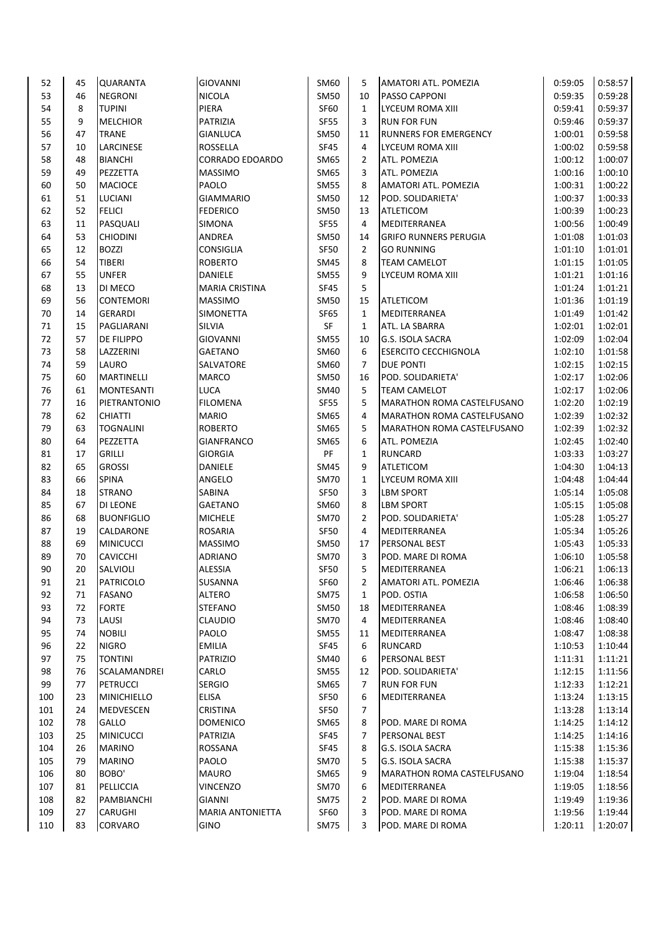| 52  | 45 | <b>QUARANTA</b>    | <b>GIOVANNI</b>         | SM60        | 5            | AMATORI ATL. POMEZIA              | 0:59:05 | 0:58:57 |
|-----|----|--------------------|-------------------------|-------------|--------------|-----------------------------------|---------|---------|
| 53  | 46 | <b>NEGRONI</b>     | <b>NICOLA</b>           | SM50        | 10           | PASSO CAPPONI                     | 0:59:35 | 0:59:28 |
| 54  | 8  | <b>TUPINI</b>      | <b>PIERA</b>            | SF60        | $\mathbf{1}$ | LYCEUM ROMA XIII                  | 0:59:41 | 0:59:37 |
| 55  | 9  | <b>MELCHIOR</b>    | PATRIZIA                | SF55        | 3            | <b>RUN FOR FUN</b>                | 0:59:46 | 0:59:37 |
| 56  | 47 | <b>TRANE</b>       | <b>GIANLUCA</b>         | <b>SM50</b> | 11           | <b>RUNNERS FOR EMERGENCY</b>      | 1:00:01 | 0:59:58 |
| 57  | 10 | LARCINESE          | ROSSELLA                | <b>SF45</b> | 4            | LYCEUM ROMA XIII                  | 1:00:02 | 0:59:58 |
| 58  | 48 | <b>BIANCHI</b>     | <b>CORRADO EDOARDO</b>  | SM65        | 2            | ATL. POMEZIA                      | 1:00:12 | 1:00:07 |
| 59  | 49 | PEZZETTA           | <b>MASSIMO</b>          | SM65        | 3            | ATL. POMEZIA                      | 1:00:16 | 1:00:10 |
| 60  | 50 | <b>MACIOCE</b>     | PAOLO                   | <b>SM55</b> | 8            | AMATORI ATL. POMEZIA              | 1:00:31 | 1:00:22 |
| 61  | 51 |                    | <b>GIAMMARIO</b>        | <b>SM50</b> | 12           | POD. SOLIDARIETA'                 | 1:00:37 | 1:00:33 |
|     |    | LUCIANI            |                         |             |              |                                   |         |         |
| 62  | 52 | <b>FELICI</b>      | <b>FEDERICO</b>         | SM50        | 13           | <b>ATLETICOM</b>                  | 1:00:39 | 1:00:23 |
| 63  | 11 | PASQUALI           | <b>SIMONA</b>           | SF55        | 4            | <b>MEDITERRANEA</b>               | 1:00:56 | 1:00:49 |
| 64  | 53 | <b>CHIODINI</b>    | ANDREA                  | SM50        | 14           | <b>GRIFO RUNNERS PERUGIA</b>      | 1:01:08 | 1:01:03 |
| 65  | 12 | <b>BOZZI</b>       | <b>CONSIGLIA</b>        | SF50        | 2            | <b>GO RUNNING</b>                 | 1:01:10 | 1:01:01 |
| 66  | 54 | <b>TIBERI</b>      | <b>ROBERTO</b>          | <b>SM45</b> | 8            | TEAM CAMELOT                      | 1:01:15 | 1:01:05 |
| 67  | 55 | <b>UNFER</b>       | DANIELE                 | <b>SM55</b> | 9            | LYCEUM ROMA XIII                  | 1:01:21 | 1:01:16 |
| 68  | 13 | DI MECO            | <b>MARIA CRISTINA</b>   | SF45        | 5            |                                   | 1:01:24 | 1:01:21 |
| 69  | 56 | <b>CONTEMORI</b>   | <b>MASSIMO</b>          | SM50        | 15           | <b>ATLETICOM</b>                  | 1:01:36 | 1:01:19 |
| 70  | 14 | <b>GERARDI</b>     | <b>SIMONETTA</b>        | <b>SF65</b> | 1            | MEDITERRANEA                      | 1:01:49 | 1:01:42 |
| 71  | 15 | PAGLIARANI         | SILVIA                  | SF          | 1            | ATL. LA SBARRA                    | 1:02:01 | 1:02:01 |
| 72  | 57 | DE FILIPPO         | <b>GIOVANNI</b>         | <b>SM55</b> | 10           | G.S. ISOLA SACRA                  | 1:02:09 | 1:02:04 |
| 73  | 58 | LAZZERINI          | <b>GAETANO</b>          | SM60        | 6            | <b>ESERCITO CECCHIGNOLA</b>       | 1:02:10 | 1:01:58 |
| 74  | 59 | LAURO              | SALVATORE               | SM60        | 7            | DUE PONTI                         | 1:02:15 | 1:02:15 |
| 75  | 60 | MARTINELLI         | <b>MARCO</b>            | SM50        | 16           | POD. SOLIDARIETA'                 | 1:02:17 | 1:02:06 |
| 76  | 61 | <b>MONTESANTI</b>  | LUCA                    | SM40        | 5.           | <b>TEAM CAMELOT</b>               | 1:02:17 | 1:02:06 |
| 77  | 16 | PIETRANTONIO       | <b>FILOMENA</b>         | SF55        | 5            | MARATHON ROMA CASTELFUSANO        | 1:02:20 | 1:02:19 |
| 78  | 62 | <b>CHIATTI</b>     | <b>MARIO</b>            | <b>SM65</b> | 4            | MARATHON ROMA CASTELFUSANO        | 1:02:39 | 1:02:32 |
| 79  | 63 | <b>TOGNALINI</b>   | <b>ROBERTO</b>          | SM65        | 5            | <b>MARATHON ROMA CASTELFUSANO</b> | 1:02:39 | 1:02:32 |
| 80  | 64 | PEZZETTA           | <b>GIANFRANCO</b>       | SM65        | 6            | ATL. POMEZIA                      | 1:02:45 | 1:02:40 |
| 81  | 17 | <b>GRILLI</b>      | <b>GIORGIA</b>          | PF          | 1            | <b>RUNCARD</b>                    | 1:03:33 | 1:03:27 |
| 82  | 65 | <b>GROSSI</b>      | <b>DANIELE</b>          | <b>SM45</b> | 9            | ATLETICOM                         | 1:04:30 | 1:04:13 |
| 83  | 66 | <b>SPINA</b>       | ANGELO                  | <b>SM70</b> | 1            | LYCEUM ROMA XIII                  | 1:04:48 | 1:04:44 |
| 84  | 18 | <b>STRANO</b>      | SABINA                  | SF50        | 3            | <b>LBM SPORT</b>                  | 1:05:14 | 1:05:08 |
| 85  |    |                    |                         |             | 8            |                                   |         |         |
|     | 67 | DI LEONE           | <b>GAETANO</b>          | SM60        |              | LBM SPORT                         | 1:05:15 | 1:05:08 |
| 86  | 68 | <b>BUONFIGLIO</b>  | <b>MICHELE</b>          | <b>SM70</b> | 2            | POD. SOLIDARIETA'                 | 1:05:28 | 1:05:27 |
| 87  | 19 | CALDARONE          | <b>ROSARIA</b>          | SF50        | 4            | MEDITERRANEA                      | 1:05:34 | 1:05:26 |
| 88  | 69 | <b>MINICUCCI</b>   | <b>MASSIMO</b>          | <b>SM50</b> | 17           | PERSONAL BEST                     | 1:05:43 | 1:05:33 |
| 89  | 70 | <b>CAVICCHI</b>    | <b>ADRIANO</b>          | <b>SM70</b> | 3            | POD. MARE DI ROMA                 | 1:06:10 | 1:05:58 |
| 90  | 20 | SALVIOLI           | <b>ALESSIA</b>          | <b>SF50</b> | 5            | MEDITERRANEA                      | 1:06:21 | 1:06:13 |
| 91  | 21 | <b>PATRICOLO</b>   | SUSANNA                 | SF60        | 2            | <b>AMATORI ATL. POMEZIA</b>       | 1:06:46 | 1:06:38 |
| 92  | 71 | FASANO             | ALTERO                  | <b>SM75</b> | 1            | POD. OSTIA                        | 1:06:58 | 1:06:50 |
| 93  | 72 | <b>FORTE</b>       | <b>STEFANO</b>          | SM50        | 18           | MEDITERRANEA                      | 1:08:46 | 1:08:39 |
| 94  | 73 | LAUSI              | <b>CLAUDIO</b>          | SM70        | 4            | MEDITERRANEA                      | 1:08:46 | 1:08:40 |
| 95  | 74 | <b>NOBILI</b>      | PAOLO                   | SM55        | 11           | MEDITERRANEA                      | 1:08:47 | 1:08:38 |
| 96  | 22 | <b>NIGRO</b>       | <b>EMILIA</b>           | SF45        | 6            | <b>RUNCARD</b>                    | 1:10:53 | 1:10:44 |
| 97  | 75 | <b>TONTINI</b>     | <b>PATRIZIO</b>         | SM40        | 6            | PERSONAL BEST                     | 1:11:31 | 1:11:21 |
| 98  | 76 | SCALAMANDREI       | CARLO                   | <b>SM55</b> | 12           | POD. SOLIDARIETA'                 | 1:12:15 | 1:11:56 |
| 99  | 77 | <b>PETRUCCI</b>    | <b>SERGIO</b>           | SM65        | 7            | <b>RUN FOR FUN</b>                | 1:12:33 | 1:12:21 |
| 100 | 23 | <b>MINICHIELLO</b> | <b>ELISA</b>            | SF50        | 6            | MEDITERRANEA                      | 1:13:24 | 1:13:15 |
| 101 | 24 | MEDVESCEN          | <b>CRISTINA</b>         | SF50        | 7            |                                   | 1:13:28 | 1:13:14 |
| 102 | 78 | GALLO              | <b>DOMENICO</b>         | SM65        | 8            | POD. MARE DI ROMA                 | 1:14:25 | 1:14:12 |
| 103 | 25 | <b>MINICUCCI</b>   | PATRIZIA                | SF45        | 7            | PERSONAL BEST                     | 1:14:25 | 1:14:16 |
| 104 | 26 | <b>MARINO</b>      | ROSSANA                 | SF45        | 8            | G.S. ISOLA SACRA                  | 1:15:38 | 1:15:36 |
| 105 | 79 | <b>MARINO</b>      | PAOLO                   | <b>SM70</b> | 5            | G.S. ISOLA SACRA                  | 1:15:38 | 1:15:37 |
| 106 | 80 | BOBO'              | <b>MAURO</b>            | SM65        | 9            | MARATHON ROMA CASTELFUSANO        | 1:19:04 | 1:18:54 |
| 107 | 81 | PELLICCIA          | <b>VINCENZO</b>         | <b>SM70</b> | 6            | MEDITERRANEA                      | 1:19:05 | 1:18:56 |
| 108 | 82 | PAMBIANCHI         | <b>GIANNI</b>           | SM75        | 2            | POD. MARE DI ROMA                 | 1:19:49 | 1:19:36 |
| 109 | 27 | CARUGHI            | <b>MARIA ANTONIETTA</b> | SF60        | 3            | POD. MARE DI ROMA                 | 1:19:56 | 1:19:44 |
| 110 | 83 | CORVARO            | GINO                    | <b>SM75</b> | 3            | POD. MARE DI ROMA                 | 1:20:11 | 1:20:07 |
|     |    |                    |                         |             |              |                                   |         |         |